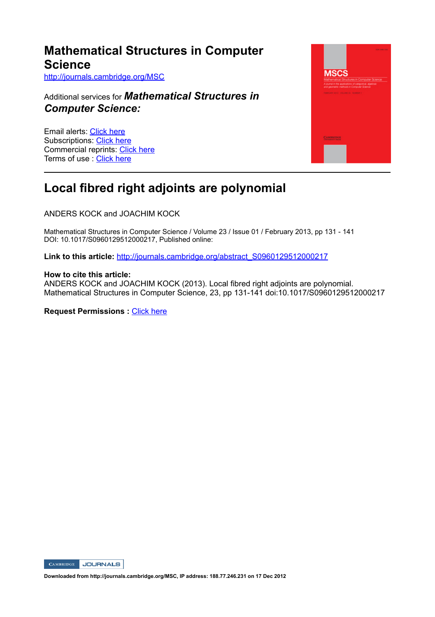### **Mathematical Structures in Computer Science** http://journals.cambridge.org/MSC

Additional services for *Mathematical Structures in Computer Science:*

Email alerts: Click here Subscriptions: Click here Commercial reprints: Click here Terms of use : Click here



## **Local fibred right adjoints are polynomial**

ANDERS KOCK and JOACHIM KOCK

Mathematical Structures in Computer Science / Volume 23 / Issue 01 / February 2013, pp 131 141 DOI: 10.1017/S0960129512000217, Published online:

Link to this article: http://journals.cambridge.org/abstract\_S0960129512000217

#### **How to cite this article:**

ANDERS KOCK and JOACHIM KOCK (2013). Local fibred right adjoints are polynomial. Mathematical Structures in Computer Science, 23, pp 131141 doi:10.1017/S0960129512000217

**Request Permissions : Click here** 



**Downloaded from http://journals.cambridge.org/MSC, IP address: 188.77.246.231 on 17 Dec 2012**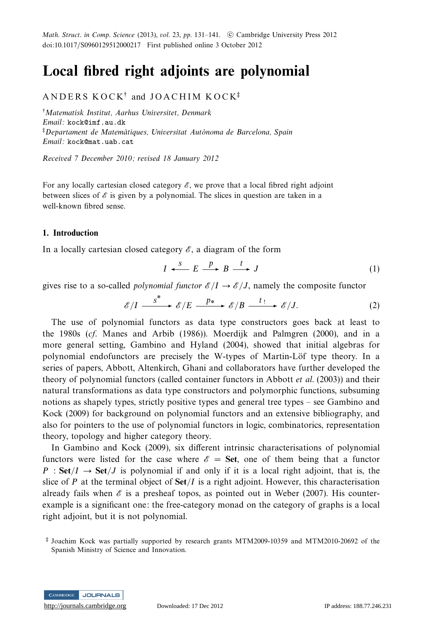Math. Struct. in Comp. Science (2013), vol. 23, pp. 131–141.  $\circledcirc$  Cambridge University Press 2012 doi:10.1017/S0960129512000217 First published online 3 October 2012

# **Local fibred right adjoints are polynomial**

### ANDERS KOCK<sup>†</sup> and JOACHIM KOCK<sup>‡</sup>

†Matematisk Institut, Aarhus Universitet, Denmark Email: kock@imf.au.dk  $\overline{p}$ Departament de Matemàtiques, Universitat Autònoma de Barcelona, Spain Email: kock@mat.uab.cat

Received 7 December 2010; revised 18 January 2012

For any locally cartesian closed category  $\mathscr E$ , we prove that a local fibred right adjoint between slices of  $\mathscr E$  is given by a polynomial. The slices in question are taken in a well-known fibred sense.

#### **1. Introduction**

In a locally cartesian closed category  $\mathscr E$ , a diagram of the form

$$
I \xleftarrow{S} E \xrightarrow{p} B \xrightarrow{t} J \tag{1}
$$

gives rise to a so-called *polynomial functor*  $\mathcal{E}/I \to \mathcal{E}/J$ , namely the composite functor

$$
\mathscr{E}/I \xrightarrow{\qquad \qquad S^*} \mathscr{E}/E \xrightarrow{\qquad p*} \mathscr{E}/B \xrightarrow{\qquad t \, !} \mathscr{E}/J. \tag{2}
$$

The use of polynomial functors as data type constructors goes back at least to the 1980s (cf. Manes and Arbib (1986)). Moerdijk and Palmgren (2000), and in a more general setting, Gambino and Hyland (2004), showed that initial algebras for polynomial endofunctors are precisely the W-types of Martin-Löf type theory. In a series of papers, Abbott, Altenkirch, Ghani and collaborators have further developed the theory of polynomial functors (called container functors in Abbott et al. (2003)) and their natural transformations as data type constructors and polymorphic functions, subsuming notions as shapely types, strictly positive types and general tree types – see Gambino and Kock (2009) for background on polynomial functors and an extensive bibliography, and also for pointers to the use of polynomial functors in logic, combinatorics, representation theory, topology and higher category theory.

In Gambino and Kock (2009), six different intrinsic characterisations of polynomial functors were listed for the case where  $\mathscr{E} =$  **Set**, one of them being that a functor  $P : Set/I \rightarrow Set/J$  is polynomial if and only if it is a local right adjoint, that is, the slice of *P* at the terminal object of **Set***/I* is a right adjoint. However, this characterisation already fails when  $\mathscr E$  is a presheaf topos, as pointed out in Weber (2007). His counterexample is a significant one: the free-category monad on the category of graphs is a local right adjoint, but it is not polynomial.



<sup>‡</sup> Joachim Kock was partially supported by research grants MTM2009-10359 and MTM2010-20692 of the Spanish Ministry of Science and Innovation.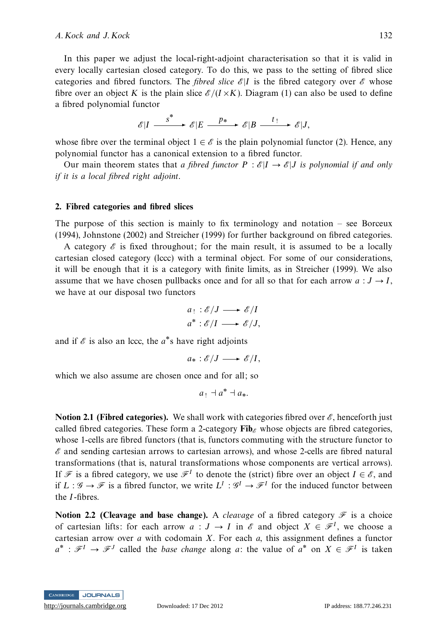#### A. Kock and J. Kock 132

In this paper we adjust the local-right-adjoint characterisation so that it is valid in every locally cartesian closed category. To do this, we pass to the setting of fibred slice categories and fibred functors. The *fibred slice*  $\mathscr{E}|I$  is the fibred category over  $\mathscr{E}$  whose fibre over an object *K* is the plain slice  $\mathcal{E}/(I \times K)$ . Diagram (1) can also be used to define a fibred polynomial functor

$$
\mathscr{E}|I \xrightarrow{\qquad \qquad } \mathscr{E}|E \xrightarrow{\qquad p_*} \mathscr{E}|B \xrightarrow{\qquad t_!} \mathscr{E}|J,
$$

whose fibre over the terminal object  $1 \in \mathscr{E}$  is the plain polynomial functor (2). Hence, any polynomial functor has a canonical extension to a fibred functor.

Our main theorem states that a fibred functor  $P : \mathcal{E}|I \to \mathcal{E}|J$  is polynomial if and only if it is a local fibred right adjoint.

#### **2. Fibred categories and fibred slices**

The purpose of this section is mainly to fix terminology and notation – see Borceux (1994), Johnstone (2002) and Streicher (1999) for further background on fibred categories.

A category  $\mathscr E$  is fixed throughout; for the main result, it is assumed to be a locally cartesian closed category (lccc) with a terminal object. For some of our considerations, it will be enough that it is a category with finite limits, as in Streicher (1999). We also assume that we have chosen pullbacks once and for all so that for each arrow  $a: J \rightarrow I$ , we have at our disposal two functors

$$
a_! : \mathscr{E}/J \longrightarrow \mathscr{E}/I
$$
  

$$
a^* : \mathscr{E}/I \longrightarrow \mathscr{E}/J,
$$

and if  $\mathscr E$  is also an lccc, the  $a^*$ s have right adjoints

$$
a_*:\mathscr{E}/J\longrightarrow \mathscr{E}/I,
$$

which we also assume are chosen once and for all; so

 $a_1 + a^* + a_*$ .

**Notion 2.1 (Fibred categories).** We shall work with categories fibred over  $\mathscr{E}$ , henceforth just called fibred categories. These form a 2-category  $\mathbf{Fib}_{\alpha}$  whose objects are fibred categories, whose 1-cells are fibred functors (that is, functors commuting with the structure functor to  $\mathscr E$  and sending cartesian arrows to cartesian arrows), and whose 2-cells are fibred natural transformations (that is, natural transformations whose components are vertical arrows). If F is a fibred category, we use  $\mathcal{F}^I$  to denote the (strict) fibre over an object  $I \in \mathcal{E}$ , and if  $L: \mathscr{G} \to \mathscr{F}$  is a fibred functor, we write  $L^I: \mathscr{G}^I \to \mathscr{F}^I$  for the induced functor between the *I*-fibres.

**Notion 2.2 (Cleavage and base change).** A *cleavage* of a fibred category  $\mathcal{F}$  is a choice of cartesian lifts: for each arrow  $a: J \to I$  in  $\mathscr E$  and object  $X \in \mathscr F^I$ , we choose a cartesian arrow over *a* with codomain *X*. For each *a*, this assignment defines a functor  $a^*$ :  $\mathcal{F}^I \to \mathcal{F}^J$  called the *base change* along *a*: the value of  $a^*$  on  $X \in \mathcal{F}^I$  is taken

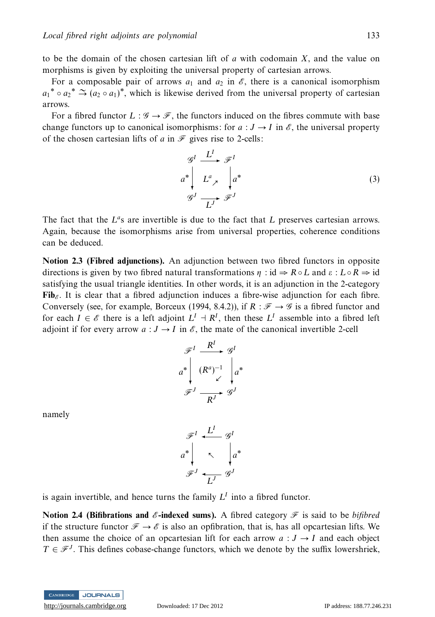to be the domain of the chosen cartesian lift of *a* with codomain *X*, and the value on morphisms is given by exploiting the universal property of cartesian arrows.

For a composable pair of arrows  $a_1$  and  $a_2$  in  $\mathscr{E}$ , there is a canonical isomorphism *a*<sub>1</sub><sup>\*</sup>  $\circ a_2$ <sup>\*</sup>  $\cong$  (*a*<sub>2</sub>  $\circ a_1$ )<sup>\*</sup>, which is likewise derived from the universal property of cartesian arrows.

For a fibred functor  $L : \mathcal{G} \to \mathcal{F}$ , the functors induced on the fibres commute with base change functors up to canonical isomorphisms: for  $a : J \to I$  in  $\mathcal{E}$ , the universal property of the chosen cartesian lifts of  $a$  in  $\mathcal F$  gives rise to 2-cells:

$$
\begin{aligned}\n\mathcal{G}^I &\xrightarrow{L^I} \mathcal{F}^I \\
a^* &\downarrow L^a \downarrow a^* \\
\mathcal{G}^J &\xrightarrow{L^J} \mathcal{F}^J\n\end{aligned} \tag{3}
$$

The fact that the  $L^a$ s are invertible is due to the fact that L preserves cartesian arrows. Again, because the isomorphisms arise from universal properties, coherence conditions can be deduced.

**Notion 2.3 (Fibred adjunctions).** An adjunction between two fibred functors in opposite directions is given by two fibred natural transformations  $\eta$  : id  $\Rightarrow R \circ L$  and  $\varepsilon$  :  $L \circ R \Rightarrow$  id satisfying the usual triangle identities. In other words, it is an adjunction in the 2-category Fib<sub> $\epsilon$ </sub>. It is clear that a fibred adjunction induces a fibre-wise adjunction for each fibre. Conversely (see, for example, Borceux (1994, 8.4.2)), if  $R : \mathcal{F} \to \mathcal{G}$  is a fibred functor and for each  $I \in \mathscr{E}$  there is a left adjoint  $L^I \to \mathbb{R}^I$ , then these  $L^I$  assemble into a fibred left adjoint if for every arrow  $a: J \to I$  in  $\mathscr{E}$ , the mate of the canonical invertible 2-cell

$$
\mathcal{F}^I \xrightarrow{R^I} \mathcal{G}^I
$$
\n
$$
a^* \begin{vmatrix} (R^a)^{-1} & a^* \\ C & C \\ C & C \end{vmatrix} a^*
$$
\n
$$
\mathcal{F}^J \xrightarrow{R^J} \mathcal{G}^J
$$

namely

$$
\mathcal{F}^I \xleftarrow{L^I} \mathcal{G}^I
$$
\n
$$
a^* \downarrow \sim \downarrow a^*
$$
\n
$$
\mathcal{F}^J \xleftarrow{L^J} \mathcal{G}^J
$$

is again invertible, and hence turns the family  $L<sup>I</sup>$  into a fibred functor.

**Notion 2.4 (Bifibrations and**  $\mathscr{E}$ **-indexed sums).** A fibred category  $\mathscr{F}$  is said to be bifibred if the structure functor  $\mathcal{F} \to \mathcal{E}$  is also an opfibration, that is, has all opcartesian lifts. We then assume the choice of an opcartesian lift for each arrow  $a: J \rightarrow I$  and each object  $T \in \mathcal{F}^J$ . This defines cobase-change functors, which we denote by the suffix lowershriek,

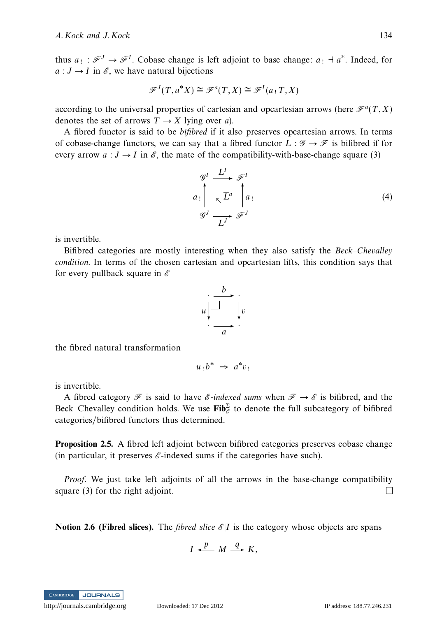thus  $a_1 : \mathcal{F}^J \to \mathcal{F}^I$ . Cobase change is left adjoint to base change:  $a_1 \dashv a^*$ . Indeed, for  $a: J \to I$  in  $\mathscr{E}$ , we have natural bijections

$$
\mathcal{F}^J(T, a^*X) \cong \mathcal{F}^a(T, X) \cong \mathcal{F}^I(a_1, X)
$$

according to the universal properties of cartesian and opcartesian arrows (here  $\mathcal{F}^a(T,X)$ ) denotes the set of arrows  $T \rightarrow X$  lying over *a*).

A fibred functor is said to be bifibred if it also preserves opcartesian arrows. In terms of cobase-change functors, we can say that a fibred functor  $L : \mathscr{G} \to \mathscr{F}$  is bifibred if for every arrow  $a: J \to I$  in  $\mathcal{E}$ , the mate of the compatibility-with-base-change square (3)

 $\mathscr{G}^I \xrightarrow{L^I} \mathscr{F}^I$  $\sqrt{L^a}$ G*J a*!  $\mathsf{L}$  $\overrightarrow{L}^J$   $\mathscr{F}^J$ *a*!  $a_1$  (4)

is invertible.

Bifibred categories are mostly interesting when they also satisfy the Beck–Chevalley condition. In terms of the chosen cartesian and opcartesian lifts, this condition says that for every pullback square in  $\mathscr E$ 

$$
u \begin{array}{c} \cdot \\ \hline \\ \hline \\ \hline \\ \hline \\ a \end{array} \begin{array}{c} \cdot \\ \hline \\ \hline \\ \hline \\ \hline \end{array} \begin{array}{c} \cdot \\ \hline \\ \hline \\ \hline \end{array}
$$

the fibred natural transformation

$$
u_!b^* \Rightarrow a^*v_!
$$

is invertible.

A fibred category  $\mathcal F$  is said to have  $\mathcal E$ -indexed sums when  $\mathcal F \to \mathcal E$  is bifibred, and the Beck–Chevalley condition holds. We use  $\mathbf{Fib}_{\mathscr{E}}^{\Sigma}$  to denote the full subcategory of bifibred categories/bifibred functors thus determined.

**Proposition 2.5.** A fibred left adjoint between bifibred categories preserves cobase change (in particular, it preserves  $\mathscr E$ -indexed sums if the categories have such).

Proof. We just take left adjoints of all the arrows in the base-change compatibility square (3) for the right adjoint.  $\Box$ 

**Notion 2.6 (Fibred slices).** The *fibred slice*  $\mathcal{E}|I$  is the category whose objects are spans

$$
I \xleftarrow{p} M \xrightarrow{q} K,
$$

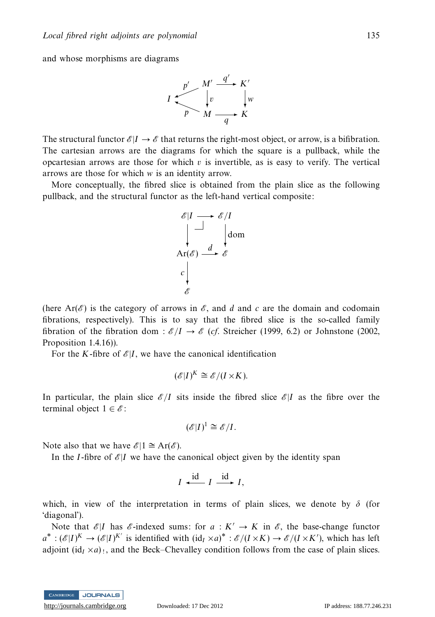and whose morphisms are diagrams



The structural functor  $\mathscr{E}|I \to \mathscr{E}$  that returns the right-most object, or arrow, is a bifibration. The cartesian arrows are the diagrams for which the square is a pullback, while the opcartesian arrows are those for which  $v$  is invertible, as is easy to verify. The vertical arrows are those for which *w* is an identity arrow.

More conceptually, the fibred slice is obtained from the plain slice as the following pullback, and the structural functor as the left-hand vertical composite:



(here Ar( $\mathscr{E}$ ) is the category of arrows in  $\mathscr{E}$ , and *d* and *c* are the domain and codomain fibrations, respectively). This is to say that the fibred slice is the so-called family fibration of the fibration dom :  $\mathcal{E}/I \rightarrow \mathcal{E}$  (*cf.* Streicher (1999, 6.2) or Johnstone (2002, Proposition 1.4.16)).

For the *K*-fibre of  $\mathcal{E}|I$ , we have the canonical identification

$$
(\mathscr{E}|I)^K \cong \mathscr{E}/(I \times K).
$$

In particular, the plain slice  $\mathscr{E}/I$  sits inside the fibred slice  $\mathscr{E}/I$  as the fibre over the terminal object  $1 \in \mathscr{E}$ :

$$
(\mathscr{E}|I)^1 \cong \mathscr{E}/I.
$$

Note also that we have  $\mathscr{E}|1 \cong \text{Ar}(\mathscr{E})$ .

In the *I*-fibre of  $\mathscr{E}|I$  we have the canonical object given by the identity span

$$
I \xrightarrow{\text{id}} I \xrightarrow{\text{id}} I,
$$

which, in view of the interpretation in terms of plain slices, we denote by  $\delta$  (for 'diagonal').

Note that  $\mathcal{E}|I$  has  $\mathcal{E}-I$  indexed sums: for  $a: K' \to K$  in  $\mathcal{E}$ , the base-change functor  $a^*$ :  $(\mathscr{E}|I)^K \to (\mathscr{E}|I)^{K'}$  is identified with  $(\mathrm{id}_I \times a)^* : \mathscr{E}/(I \times K) \to \mathscr{E}/(I \times K')$ , which has left adjoint  $(id<sub>I</sub> \times a)$ <sub>1</sub>, and the Beck–Chevalley condition follows from the case of plain slices.

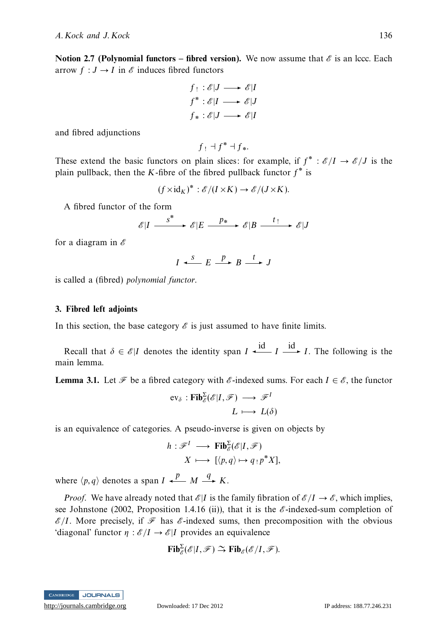**Notion 2.7 (Polynomial functors – fibred version).** We now assume that  $\mathscr E$  is an lccc. Each arrow  $f : J \to I$  in  $\mathcal E$  induces fibred functors

$$
f: \mathscr{E}|J \longrightarrow \mathscr{E}|I
$$
  

$$
f^*: \mathscr{E}|I \longrightarrow \mathscr{E}|J
$$
  

$$
f_*: \mathscr{E}|J \longrightarrow \mathscr{E}|I
$$

and fibred adjunctions

$$
f: \exists f^* \exists f_*
$$

These extend the basic functors on plain slices: for example, if  $f^* : \mathcal{E}/I \to \mathcal{E}/J$  is the plain pullback, then the *K*-fibre of the fibred pullback functor *f*∗ is

$$
(f \times id_K)^* : \mathscr{E}/(I \times K) \to \mathscr{E}/(J \times K).
$$

A fibred functor of the form

$$
\mathscr{E}|I \xrightarrow{\qquad \qquad S^*} \mathscr{E}|E \xrightarrow{\qquad p_*} \mathscr{E}|B \xrightarrow{\qquad t \, !} \mathscr{E}|J
$$

for a diagram in  $\mathscr E$ 

$$
I \xrightarrow{s} E \xrightarrow{p} B \xrightarrow{t} J
$$

is called a (fibred) polynomial functor.

#### **3. Fibred left adjoints**

In this section, the base category  $\mathscr E$  is just assumed to have finite limits.

Recall that  $\delta \in \mathcal{E} | I$  denotes the identity span  $I \xrightarrow{\text{id}} I \xrightarrow{\text{id}} I$ . The following is the main lemma.

**Lemma 3.1.** Let  $\mathcal{F}$  be a fibred category with  $\mathcal{E}$ -indexed sums. For each  $I \in \mathcal{E}$ , the functor

$$
\text{ev}_{\delta}: \text{Fib}_{\delta}^{\Sigma}(\mathscr{E}|I, \mathscr{F}) \longrightarrow \mathscr{F}^{I}
$$

$$
L \longmapsto L(\delta)
$$

is an equivalence of categories. A pseudo-inverse is given on objects by

$$
h: \mathscr{F}^I \longrightarrow \text{Fib}_{\mathscr{E}}^{\Sigma}(\mathscr{E}|I, \mathscr{F})
$$

$$
X \longmapsto [ \langle p, q \rangle \mapsto q \cdot p^* X ],
$$

where  $\langle p, q \rangle$  denotes a span  $I \xrightarrow{p} M \xrightarrow{q} K$ .

*Proof.* We have already noted that  $\mathcal{E}|I$  is the family fibration of  $\mathcal{E}/I \to \mathcal{E}$ , which implies, see Johnstone (2002, Proposition 1.4.16 (ii)), that it is the  $\mathscr E$ -indexed-sum completion of  $\mathscr{E}/I$ . More precisely, if  $\mathscr{F}$  has  $\mathscr{E}$ -indexed sums, then precomposition with the obvious 'diagonal' functor  $\eta : \mathscr{E}/I \to \mathscr{E}|I$  provides an equivalence

$$
\mathbf{Fib}_{\mathscr{E}}^{\Sigma}(\mathscr{E}|I,\mathscr{F}) \xrightarrow{\sim} \mathbf{Fib}_{\mathscr{E}}(\mathscr{E}/I,\mathscr{F}).
$$

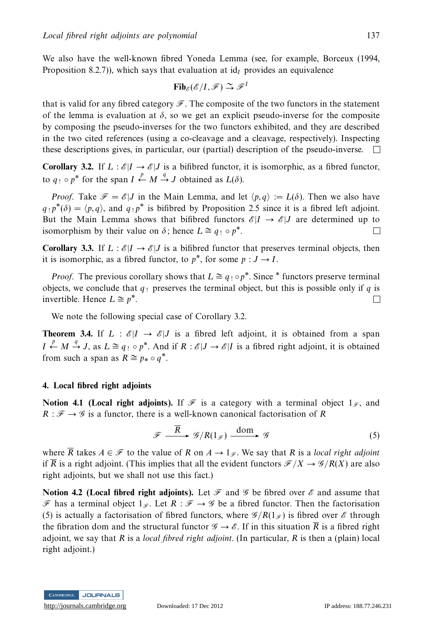We also have the well-known fibred Yoneda Lemma (see, for example, Borceux (1994, Proposition 8.2.7)), which says that evaluation at id<sub>*I*</sub> provides an equivalence

$$
\mathbf{Fib}_{\mathscr{E}}(\mathscr{E}/I,\mathscr{F})\stackrel{\sim}{\to}\mathscr{F}^I
$$

that is valid for any fibred category  $\mathscr F$ . The composite of the two functors in the statement of the lemma is evaluation at  $\delta$ , so we get an explicit pseudo-inverse for the composite by composing the pseudo-inverses for the two functors exhibited, and they are described in the two cited references (using a co-cleavage and a cleavage, respectively). Inspecting these descriptions gives, in particular, our (partial) description of the pseudo-inverse.  $\Box$ 

**Corollary 3.2.** If  $L : \mathcal{E}|I \to \mathcal{E}|J$  is a bifibred functor, it is isomorphic, as a fibred functor, to  $q_! \circ p^*$  for the span  $I \xleftarrow{p} M \xrightarrow{q} J$  obtained as  $L(\delta)$ .

*Proof.* Take  $\mathcal{F} = \mathcal{E} | J$  in the Main Lemma, and let  $\langle p, q \rangle := L(\delta)$ . Then we also have  $q_1 p^*(\delta) = \langle p, q \rangle$ , and  $q_1 p^*$  is bifibred by Proposition 2.5 since it is a fibred left adjoint. But the Main Lemma shows that bifibred functors  $\mathcal{E}|I \to \mathcal{E}|J$  are determined up to isomorphism by their value on  $\delta$ : hence  $L \cong a_1 \circ p^*$ . isomorphism by their value on  $\delta$ ; hence  $L \cong q_1 \circ p^*$ .

**Corollary 3.3.** If  $L : \mathcal{E}|I \to \mathcal{E}|J$  is a bifibred functor that preserves terminal objects, then it is isomorphic, as a fibred functor, to  $p^*$ , for some  $p: J \to I$ .

*Proof.* The previous corollary shows that  $L \cong q_1 \circ p^*$ . Since  $*$  functors preserve terminal objects, we conclude that  $q_1$  preserves the terminal object, but this is possible only if  $q$  is invertible. Hence  $L \cong p^*$ .  $\Box$ 

We note the following special case of Corollary 3.2.

**Theorem 3.4.** If  $L : \mathcal{E} | I \to \mathcal{E} | J$  is a fibred left adjoint, it is obtained from a span *I*  $\stackrel{p}{\leftarrow} M \stackrel{q}{\rightarrow} J$ , as *L* ≅ *q*! ◦ *p*<sup>\*</sup>. And if *R* : *C*|*J* → *C*|*I* is a fibred right adjoint, it is obtained from such a span as  $R \cong p_* \circ q^*$ .

#### **4. Local fibred right adjoints**

**Notion 4.1 (Local right adjoints).** If  $\mathcal F$  is a category with a terminal object  $1_{\mathcal F}$ , and  $R : \mathcal{F} \rightarrow \mathcal{G}$  is a functor, there is a well-known canonical factorisation of *R* 

$$
\mathscr{F} \xrightarrow{\overline{R}} \mathscr{G}/R(1_{\mathscr{F}}) \xrightarrow{\text{dom}} \mathscr{G}
$$
 (5)

where  $\overline{R}$  takes  $A \in \mathcal{F}$  to the value of R on  $A \to 1_{\mathcal{F}}$ . We say that R is a local right adjoint if  $\overline{R}$  is a right adjoint. (This implies that all the evident functors  $\mathcal{F}/X \to \mathcal{G}/R(X)$  are also right adjoints, but we shall not use this fact.)

**Notion 4.2 (Local fibred right adjoints).** Let  $\mathcal F$  and  $\mathcal G$  be fibred over  $\mathcal E$  and assume that F has a terminal object  $1\pi$ . Let  $R : \mathcal{F} \to \mathcal{G}$  be a fibred functor. Then the factorisation (5) is actually a factorisation of fibred functors, where  $\mathscr{G}/R(1_{\mathscr{F}})$  is fibred over  $\mathscr{E}$  through the fibration dom and the structural functor  $\mathscr{G} \to \mathscr{E}$ . If in this situation  $\overline{R}$  is a fibred right adjoint, we say that *R* is a local fibred right adjoint. (In particular, *R* is then a (plain) local right adjoint.)

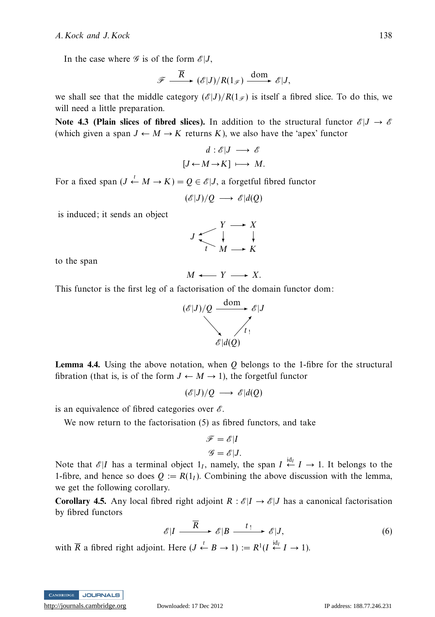In the case where  $\mathscr G$  is of the form  $\mathscr E|J$ ,

$$
\mathscr{F} \xrightarrow{\overline{R}} (\mathscr{E}|J)/R(1_{\mathscr{F}}) \xrightarrow{\text{dom}} \mathscr{E}|J,
$$

we shall see that the middle category  $(\mathscr{E}|J)/R(1_{\mathscr{F}})$  is itself a fibred slice. To do this, we will need a little preparation.

**Note 4.3 (Plain slices of fibred slices).** In addition to the structural functor  $\mathscr{E}|J \to \mathscr{E}$ (which given a span  $J \leftarrow M \rightarrow K$  returns K), we also have the 'apex' functor

$$
d: \mathscr{E}|J \longrightarrow \mathscr{E}
$$

$$
[J \leftarrow M \rightarrow K] \longmapsto M.
$$

For a fixed span  $(J \stackrel{t}{\leftarrow} M \rightarrow K) = Q \in \mathcal{E}|J$ , a forgetful fibred functor

 $(\mathscr{E}|J)/Q \longrightarrow \mathscr{E}|d(Q)$ 

is induced; it sends an object

$$
J \xrightarrow{\begin{array}{c} Y \longrightarrow X \\ \downarrow \\ \uparrow \\ M \longrightarrow K \end{array}}
$$

to the span

$$
M \longleftarrow Y \longrightarrow X.
$$

This functor is the first leg of a factorisation of the domain functor dom:



**Lemma 4.4.** Using the above notation, when *Q* belongs to the 1-fibre for the structural fibration (that is, is of the form  $J \leftarrow M \rightarrow 1$ ), the forgetful functor

 $(\mathscr{E}|J)/Q \longrightarrow \mathscr{E}|d(Q)$ 

is an equivalence of fibred categories over  $\mathscr{E}$ .

We now return to the factorisation (5) as fibred functors, and take

$$
\mathcal{F} = \mathcal{E}|I
$$

$$
\mathcal{G} = \mathcal{E}|J.
$$

Note that  $\mathcal{E}|I$  has a terminal object  $1_I$ , namely, the span  $I \stackrel{\text{id}_I}{\leftarrow} I \rightarrow 1$ . It belongs to the 1-fibre, and hence so does  $Q := R(1<sub>I</sub>)$ . Combining the above discussion with the lemma, we get the following corollary.

**Corollary 4.5.** Any local fibred right adjoint  $R : \mathcal{E}|I \rightarrow \mathcal{E}|J$  has a canonical factorisation by fibred functors

$$
\mathscr{E}|I \xrightarrow{\overline{R}} \mathscr{E}|B \xrightarrow{t_!} \mathscr{E}|J,\tag{6}
$$

with  $\overline{R}$  a fibred right adjoint. Here  $(J \stackrel{t}{\leftarrow} B \rightarrow 1) := R^1(I \stackrel{\text{id}_I}{\leftarrow} I \rightarrow 1)$ .

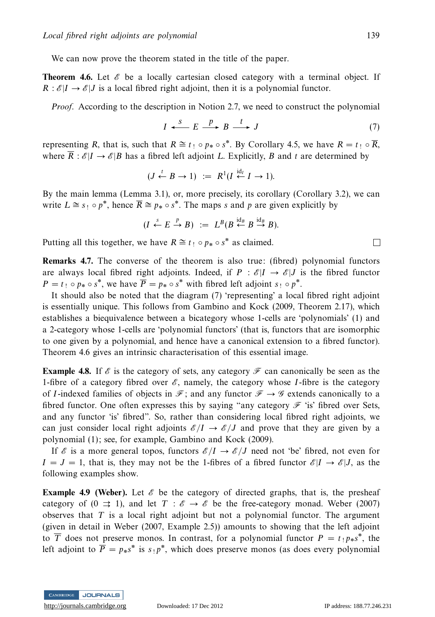We can now prove the theorem stated in the title of the paper.

**Theorem 4.6.** Let  $\mathscr E$  be a locally cartesian closed category with a terminal object. If  $R : \mathcal{E}|I \to \mathcal{E}|J$  is a local fibred right adjoint, then it is a polynomial functor.

Proof. According to the description in Notion 2.7, we need to construct the polynomial

$$
I \xleftarrow{S} E \xrightarrow{p} B \xrightarrow{t} J \tag{7}
$$

representing *R*, that is, such that  $R \cong t_1 \circ p_* \circ s^*$ . By Corollary 4.5, we have  $R = t_1 \circ \overline{R}$ , where  $\overline{R}$ :  $\mathscr{E}|I \to \mathscr{E}|B$  has a fibred left adjoint *L*. Explicitly, *B* and *t* are determined by

$$
(J \xleftarrow{t} B \to 1) := R^1(I \xleftarrow{id_I} I \to 1).
$$

By the main lemma (Lemma 3.1), or, more precisely, its corollary (Corollary 3.2), we can write  $L \cong s_! \circ p^*$ , hence  $\overline{R} \cong p^* \circ s^*$ . The maps *s* and *p* are given explicitly by

$$
(I \xleftarrow{\ s \ } E \xrightarrow{\ p \ } B) \ := \ L^B(B \xleftarrow{\mathrm{id}_B} B \xrightarrow{\mathrm{id}_B} B).
$$

Putting all this together, we have  $R \cong t_1 \circ p_* \circ s^*$  as claimed.

**Remarks 4.7.** The converse of the theorem is also true: (fibred) polynomial functors are always local fibred right adjoints. Indeed, if  $P : \mathcal{E}|I \rightarrow \mathcal{E}|J$  is the fibred functor  $P = t_1 \circ p_* \circ s^*$ , we have  $\overline{P} = p_* \circ s^*$  with fibred left adjoint  $s_1 \circ p^*$ .

It should also be noted that the diagram (7) 'representing' a local fibred right adjoint is essentially unique. This follows from Gambino and Kock (2009, Theorem 2.17), which establishes a biequivalence between a bicategory whose 1-cells are 'polynomials' (1) and a 2-category whose 1-cells are 'polynomial functors' (that is, functors that are isomorphic to one given by a polynomial, and hence have a canonical extension to a fibred functor). Theorem 4.6 gives an intrinsic characterisation of this essential image.

**Example 4.8.** If  $\mathscr E$  is the category of sets, any category  $\mathscr F$  can canonically be seen as the 1-fibre of a category fibred over  $\mathscr{E}$ , namely, the category whose *I*-fibre is the category of *I*-indexed families of objects in  $\mathcal{F}$ ; and any functor  $\mathcal{F} \rightarrow \mathcal{G}$  extends canonically to a fibred functor. One often expresses this by saying "any category  $\mathcal F$  'is' fibred over Sets, and any functor 'is' fibred". So, rather than considering local fibred right adjoints, we can just consider local right adjoints  $\mathscr{E}/I \to \mathscr{E}/J$  and prove that they are given by a polynomial (1); see, for example, Gambino and Kock (2009).

If  $\mathscr E$  is a more general topos, functors  $\mathscr E/I \to \mathscr E/J$  need not 'be' fibred, not even for  $I = J = 1$ , that is, they may not be the 1-fibres of a fibred functor  $\mathscr{E} | I \to \mathscr{E} | J$ , as the following examples show.

**Example 4.9 (Weber).** Let  $\mathscr E$  be the category of directed graphs, that is, the presheaf category of  $(0 \Rightarrow 1)$ , and let  $T : \mathscr{E} \to \mathscr{E}$  be the free-category monad. Weber (2007) observes that *T* is a local right adjoint but not a polynomial functor. The argument (given in detail in Weber (2007, Example 2.5)) amounts to showing that the left adjoint to  $\overline{T}$  does not preserve monos. In contrast, for a polynomial functor  $P = t_1 p_* s^*$ , the left adjoint to  $\overline{P} = p_{*} s^{*}$  is  $s_{\perp} p^{*}$ , which does preserve monos (as does every polynomial



 $\Box$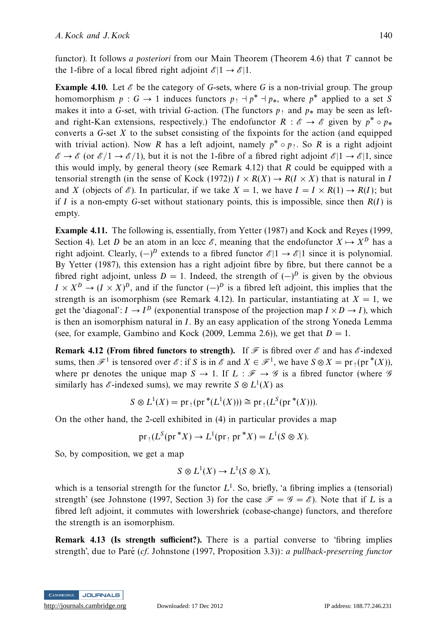functor). It follows a posteriori from our Main Theorem (Theorem 4.6) that *T* cannot be the 1-fibre of a local fibred right adjoint  $\mathcal{E}|1 \rightarrow \mathcal{E}|1$ .

**Example 4.10.** Let  $\mathscr E$  be the category of *G*-sets, where *G* is a non-trivial group. The group homomorphism  $p : G \to 1$  induces functors  $p_1 + p^* + p_*$ , where  $p^*$  applied to a set *S* makes it into a *G*-set, with trivial *G*-action. (The functors  $p_1$  and  $p_*$  may be seen as leftand right-Kan extensions, respectively.) The endofunctor  $R : \mathscr{E} \to \mathscr{E}$  given by  $p^* \circ p_*$ converts a *G*-set *X* to the subset consisting of the fixpoints for the action (and equipped with trivial action). Now *R* has a left adjoint, namely  $p^* \circ p_1$ . So *R* is a right adjoint  $\mathscr{E} \to \mathscr{E}$  (or  $\mathscr{E}/1 \to \mathscr{E}/1$ ), but it is not the 1-fibre of a fibred right adjoint  $\mathscr{E}|1 \to \mathscr{E}|1$ , since this would imply, by general theory (see Remark 4.12) that *R* could be equipped with a tensorial strength (in the sense of Kock (1972))  $I \times R(X) \rightarrow R(I \times X)$  that is natural in *I* and *X* (objects of  $\mathcal{E}$ ). In particular, if we take  $X = 1$ , we have  $I = I \times R(1) \rightarrow R(I)$ ; but if *I* is a non-empty *G*-set without stationary points, this is impossible, since then *R*(*I*) is empty.

**Example 4.11.** The following is, essentially, from Yetter (1987) and Kock and Reyes (1999, Section 4). Let *D* be an atom in an lccc  $\mathscr{E}$ , meaning that the endofunctor  $X \mapsto X^D$  has a right adjoint. Clearly,  $(-)^D$  extends to a fibred functor  $\mathcal{E}|1 \to \mathcal{E}|1$  since it is polynomial. By Yetter (1987), this extension has a right adjoint fibre by fibre, but there cannot be a fibred right adjoint, unless  $D = 1$ . Indeed, the strength of  $(-)^D$  is given by the obvious  $I \times X^D \to (I \times X)^D$ , and if the functor  $(-)^D$  is a fibred left adjoint, this implies that the strength is an isomorphism (see Remark 4.12). In particular, instantiating at  $X = 1$ , we get the 'diagonal':  $I \rightarrow I^D$  (exponential transpose of the projection map  $I \times D \rightarrow I$ ), which is then an isomorphism natural in *I*. By an easy application of the strong Yoneda Lemma (see, for example, Gambino and Kock (2009, Lemma 2.6)), we get that  $D = 1$ .

**Remark 4.12 (From fibred functors to strength).** If  $\mathcal F$  is fibred over  $\mathcal E$  and has  $\mathcal E$ -indexed sums, then  $\mathcal{F}^1$  is tensored over  $\mathcal{E}:$  if *S* is in  $\mathcal{E}$  and  $X \in \mathcal{F}^1$ , we have  $S \otimes X = \text{pr}_1(\text{pr}^*(X))$ , where pr denotes the unique map  $S \to 1$ . If  $L : \mathcal{F} \to \mathcal{G}$  is a fibred functor (where  $\mathcal{G}$ similarly has  $\mathscr{E}\text{-indexed sums}$ , we may rewrite  $S \otimes L^1(X)$  as

$$
S \otimes L^1(X) = pr_1(pr^*(L^1(X))) \cong pr_1(L^S(pr^*(X))).
$$

On the other hand, the 2-cell exhibited in (4) in particular provides a map

$$
pr_1(L^S(pr^*X) \to L^1(pr_1 pr^*X) = L^1(S \otimes X).
$$

So, by composition, we get a map

$$
S \otimes L^1(X) \to L^1(S \otimes X),
$$

which is a tensorial strength for the functor  $L^1$ . So, briefly, 'a fibring implies a (tensorial) strength' (see Johnstone (1997, Section 3) for the case  $\mathcal{F} = \mathcal{G} = \mathcal{E}$ ). Note that if *L* is a fibred left adjoint, it commutes with lowershriek (cobase-change) functors, and therefore the strength is an isomorphism.

**Remark 4.13 (Is strength sufficient?).** There is a partial converse to 'fibring implies strength', due to Paré ( $cf.$  Johnstone (1997, Proposition 3.3)): a pullback-preserving functor